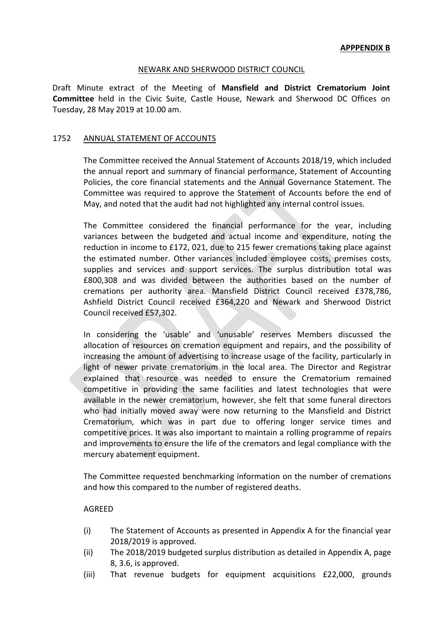## NEWARK AND SHERWOOD DISTRICT COUNCIL

Draft Minute extract of the Meeting of **Mansfield and District Crematorium Joint Committee** held in the Civic Suite, Castle House, Newark and Sherwood DC Offices on Tuesday, 28 May 2019 at 10.00 am.

## 1752 ANNUAL STATEMENT OF ACCOUNTS

The Committee received the Annual Statement of Accounts 2018/19, which included the annual report and summary of financial performance, Statement of Accounting Policies, the core financial statements and the Annual Governance Statement. The Committee was required to approve the Statement of Accounts before the end of May, and noted that the audit had not highlighted any internal control issues.

The Committee considered the financial performance for the year, including variances between the budgeted and actual income and expenditure, noting the reduction in income to £172, 021, due to 215 fewer cremations taking place against the estimated number. Other variances included employee costs, premises costs, supplies and services and support services. The surplus distribution total was £800,308 and was divided between the authorities based on the number of cremations per authority area. Mansfield District Council received £378,786, Ashfield District Council received £364,220 and Newark and Sherwood District Council received £57,302.

In considering the 'usable' and 'unusable' reserves Members discussed the allocation of resources on cremation equipment and repairs, and the possibility of increasing the amount of advertising to increase usage of the facility, particularly in light of newer private crematorium in the local area. The Director and Registrar explained that resource was needed to ensure the Crematorium remained competitive in providing the same facilities and latest technologies that were available in the newer crematorium, however, she felt that some funeral directors who had initially moved away were now returning to the Mansfield and District Crematorium, which was in part due to offering longer service times and competitive prices. It was also important to maintain a rolling programme of repairs and improvements to ensure the life of the cremators and legal compliance with the mercury abatement equipment.

The Committee requested benchmarking information on the number of cremations and how this compared to the number of registered deaths.

## AGREED

- (i) The Statement of Accounts as presented in Appendix A for the financial year 2018/2019 is approved.
- (ii) The 2018/2019 budgeted surplus distribution as detailed in Appendix A, page 8, 3.6, is approved.
- (iii) That revenue budgets for equipment acquisitions £22,000, grounds